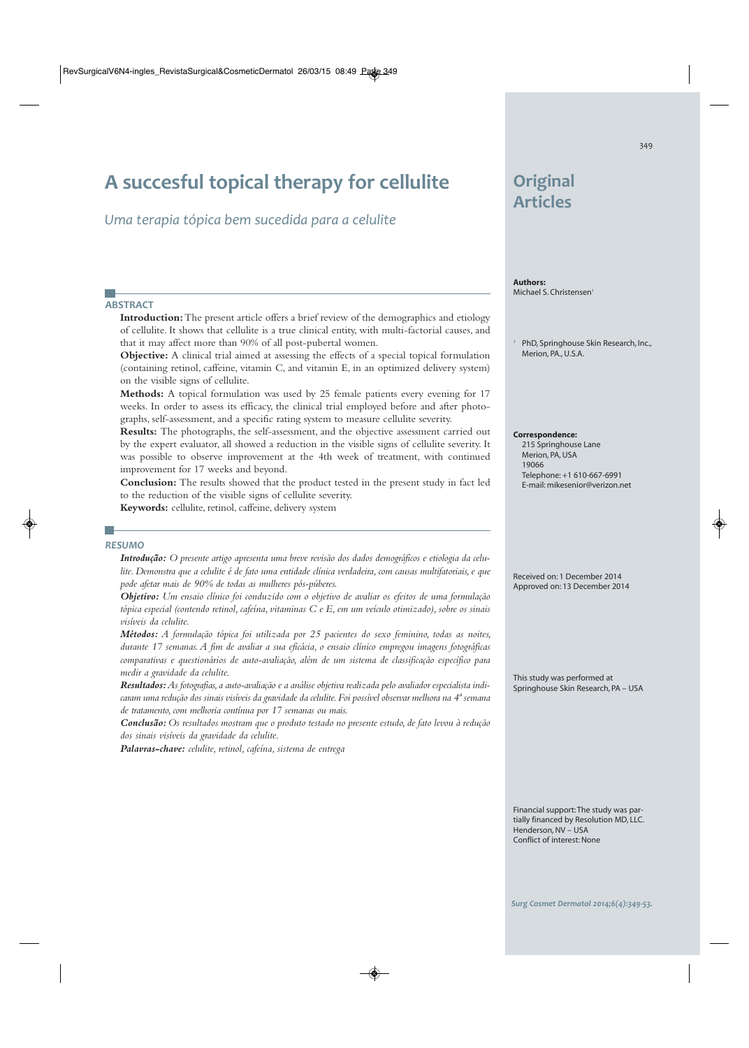# **A succesful topical therapy for cellulite**

*Uma terapia tópica bem sucedida para a celulite*

# **ABSTRACT**

J.

**Introduction:**The present article offers a brief review of the demographics and etiology of cellulite. It shows that cellulite is a true clinical entity, with multi-factorial causes, and that it may affect more than 90% of all post-pubertal women.

**Objective:** A clinical trial aimed at assessing the effects of a special topical formulation (containing retinol, caffeine, vitamin C, and vitamin E, in an optimized delivery system) on the visible signs of cellulite.

**Methods:** A topical formulation was used by 25 female patients every evening for 17 weeks. In order to assess its efficacy, the clinical trial employed before and after photographs, self-assessment, and a specific rating system to measure cellulite severity.

**Results:** The photographs, the self-assessment, and the objective assessment carried out by the expert evaluator, all showed a reduction in the visible signs of cellulite severity. It was possible to observe improvement at the 4th week of treatment, with continued improvement for 17 weeks and beyond.

**Conclusion:** The results showed that the product tested in the present study in fact led to the reduction of the visible signs of cellulite severity.

**Keywords:** cellulite, retinol, caffeine, delivery system

#### **RESUMO**

a s

Introdução: O presente artigo apresenta uma breve revisão dos dados demográficos e etiologia da celu*lite. Demonstra que a celulite é de fato uma entidade clínica verdadeira, com causas multifatoriais, e que pode afetar mais de 90% de todas as mulheres pós-púberes.*

*Objetivo: Um ensaio clínico foi conduzido com o objetivo de avaliar os efeitos de uma formulação tópica especial (contendo retinol, cafeína, vitaminas C e E, em um veículo otimizado), sobre os sinais visíveis da celulite.*

*Métodos: A formulação tópica foi utilizada por 25 pacientes do sexo feminino, todas as noites, durante 17 semanas. A fim de avaliar a sua eficácia, o ensaio clínico empregou imagens fotográficas comparativas e questionários de auto-avaliação, além de um sistema de classificação específico para medir a gravidade da celulite.*

*Resultados:As fotografias, a auto-avaliação e a análise objetiva realizada pelo avaliador especialista indicaram uma redução dos sinais visíveis da gravidade da celulite. Foi possível observar melhora na 4ª semana de tratamento, com melhoria contínua por 17 semanas ou mais.*

*Conclusão: Os resultados mostram que o produto testado no presente estudo, de fato levou à redução dos sinais visíveis da gravidade da celulite.*

*Palavras-chave: celulite, retinol, cafeína, sistema de entrega*

# **Original Articles**

**Authors:** Michael S. Christensen*<sup>1</sup>*

*<sup>1</sup>* PhD, Springhouse Skin Research, Inc., Merion, PA., U.S.A.

**Correspondence:**

 215 Springhouse Lane Merion, PA, USA 19066 Telephone: +1 610-667-6991 E-mail: mikesenior@verizon.net

Received on: 1 December 2014 Approved on: 13 December 2014

This study was performed at Springhouse Skin Research, PA – USA

Financial support: The study was partially financed by Resolution MD, LLC. Henderson, NV – USA Conflict of interest: None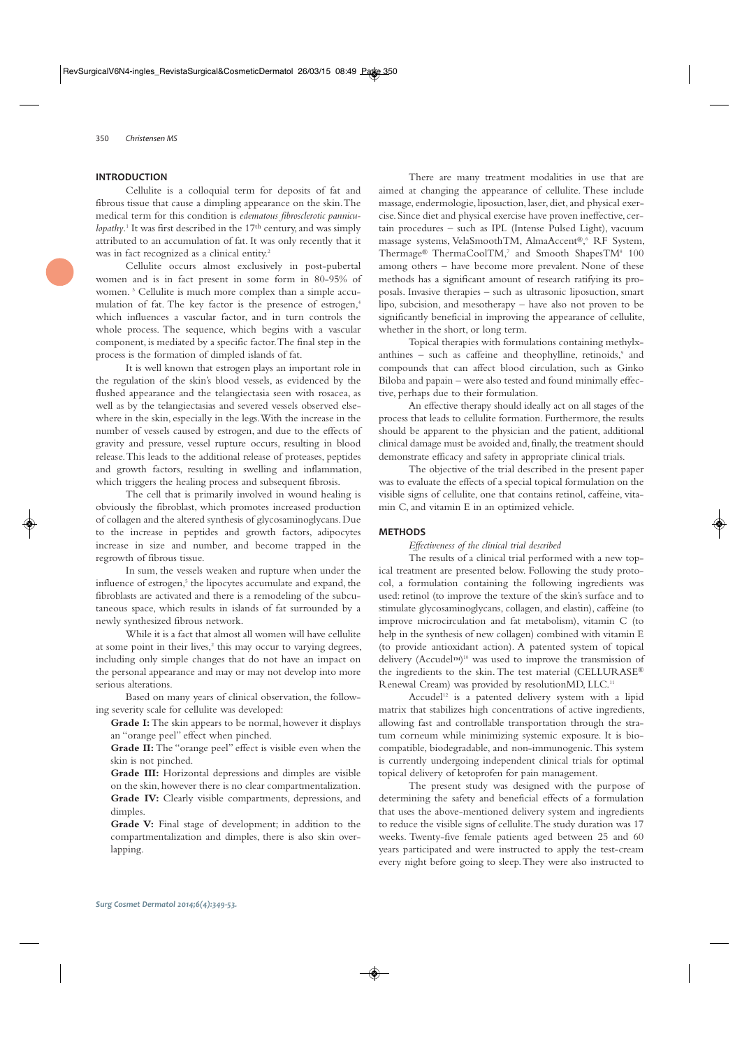## **INTRODUCTION**

Cellulite is a colloquial term for deposits of fat and fibrous tissue that cause a dimpling appearance on the skin. The medical term for this condition is *edematous fibrosclerotic pannicu*lopathy.<sup>1</sup> It was first described in the 17<sup>th</sup> century, and was simply attributed to an accumulation of fat. It was only recently that it was in fact recognized as a clinical entity.<sup>2</sup>

Cellulite occurs almost exclusively in post-pubertal women and is in fact present in some form in 80-95% of women. 3 Cellulite is much more complex than a simple accumulation of fat. The key factor is the presence of estrogen,<sup>4</sup> which influences a vascular factor, and in turn controls the whole process. The sequence, which begins with a vascular component, is mediated by a specific factor. The final step in the process is the formation of dimpled islands of fat.

It is well known that estrogen plays an important role in the regulation of the skin's blood vessels, as evidenced by the flushed appearance and the telangiectasia seen with rosacea, as well as by the telangiectasias and severed vessels observed elsewhere in the skin, especially in the legs. With the increase in the number of vessels caused by estrogen, and due to the effects of gravity and pressure, vessel rupture occurs, resulting in blood release. This leads to the additional release of proteases, peptides and growth factors, resulting in swelling and inflammation, which triggers the healing process and subsequent fibrosis.

The cell that is primarily involved in wound healing is obviously the fibroblast, which promotes increased production of collagen and the altered synthesis of glycosaminoglycans. Due to the increase in peptides and growth factors, adipocytes increase in size and number, and become trapped in the regrowth of fibrous tissue.

In sum, the vessels weaken and rupture when under the influence of estrogen,<sup>5</sup> the lipocytes accumulate and expand, the fibroblasts are activated and there is a remodeling of the subcutaneous space, which results in islands of fat surrounded by a newly synthesized fibrous network.

While it is a fact that almost all women will have cellulite at some point in their lives, $2$  this may occur to varying degrees, including only simple changes that do not have an impact on the personal appearance and may or may not develop into more serious alterations.

Based on many years of clinical observation, the following severity scale for cellulite was developed:

**Grade I:**The skin appears to be normal, however it displays an "orange peel" effect when pinched.

**Grade II:**The "orange peel" effect is visible even when the skin is not pinched.

**Grade III:** Horizontal depressions and dimples are visible on the skin, however there is no clear compartmentalization. Grade IV: Clearly visible compartments, depressions, and dimples.

**Grade V:** Final stage of development; in addition to the compartmentalization and dimples, there is also skin overlapping.

There are many treatment modalities in use that are aimed at changing the appearance of cellulite. These include massage, endermologie, liposuction, laser, diet, and physical exercise. Since diet and physical exercise have proven ineffective, certain procedures – such as IPL (Intense Pulsed Light), vacuum massage systems, VelaSmoothTM, AlmaAccent®, <sup>6</sup> RF System, Thermage® ThermaCoolTM,7 and Smooth ShapesTM<sup>8</sup> 100 among others – have become more prevalent. None of these methods has a significant amount of research ratifying its proposals. Invasive therapies – such as ultrasonic liposuction, smart lipo, subcision, and mesotherapy – have also not proven to be significantly beneficial in improving the appearance of cellulite, whether in the short, or long term.

Topical therapies with formulations containing methylxanthines  $-$  such as caffeine and theophylline, retinoids, $9$  and compounds that can affect blood circulation, such as Ginko Biloba and papain – were also tested and found minimally effective, perhaps due to their formulation.

An effective therapy should ideally act on all stages of the process that leads to cellulite formation. Furthermore, the results should be apparent to the physician and the patient, additional clinical damage must be avoided and, finally, the treatment should demonstrate efficacy and safety in appropriate clinical trials.

The objective of the trial described in the present paper was to evaluate the effects of a special topical formulation on the visible signs of cellulite, one that contains retinol, caffeine, vitamin C, and vitamin E in an optimized vehicle.

#### **METHODS**

# *Effectiveness of the clinical trial described*

The results of a clinical trial performed with a new topical treatment are presented below. Following the study protocol, a formulation containing the following ingredients was used: retinol (to improve the texture of the skin's surface and to stimulate glycosaminoglycans, collagen, and elastin), caffeine (to improve microcirculation and fat metabolism), vitamin C (to help in the synthesis of new collagen) combined with vitamin E (to provide antioxidant action). A patented system of topical delivery (Accudel™) <sup>10</sup> was used to improve the transmission of the ingredients to the skin. The test material (CELLURASE® Renewal Cream) was provided by resolutionMD, LLC.11

Accudel<sup>12</sup> is a patented delivery system with a lipid matrix that stabilizes high concentrations of active ingredients, allowing fast and controllable transportation through the stratum corneum while minimizing systemic exposure. It is biocompatible, biodegradable, and non-immunogenic. This system is currently undergoing independent clinical trials for optimal topical delivery of ketoprofen for pain management.

The present study was designed with the purpose of determining the safety and beneficial effects of a formulation that uses the above-mentioned delivery system and ingredients to reduce the visible signs of cellulite. The study duration was 17 weeks. Twenty-five female patients aged between 25 and 60 years participated and were instructed to apply the test-cream every night before going to sleep. They were also instructed to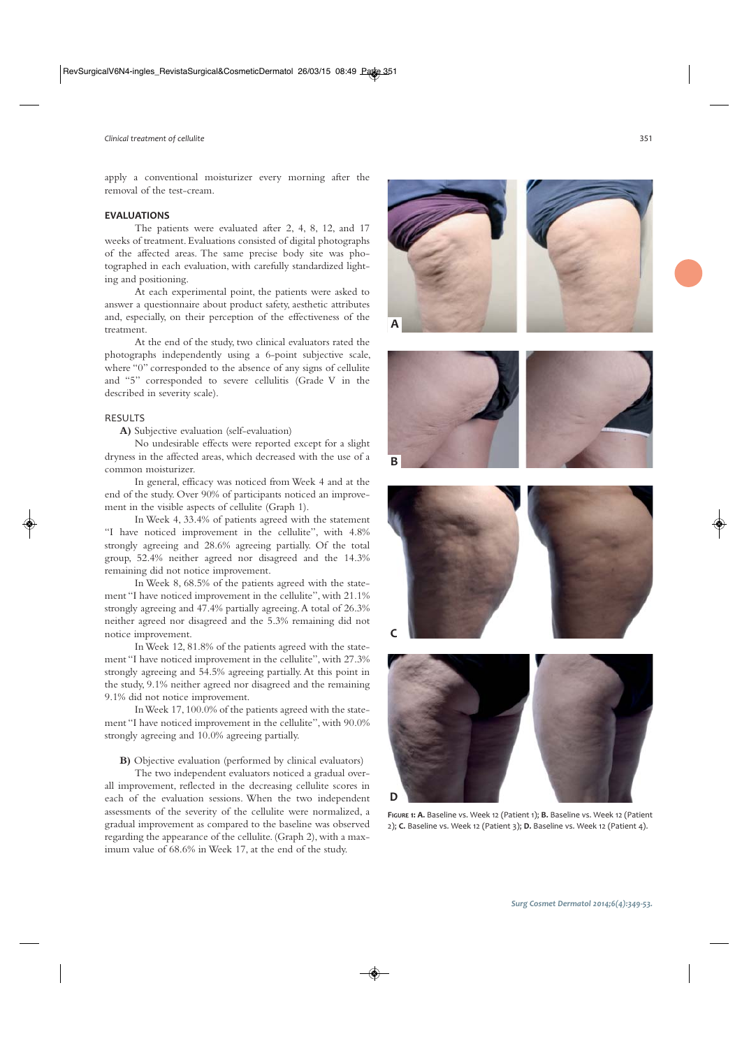apply a conventional moisturizer every morning after the removal of the test-cream.

#### **EVALUATIONS**

The patients were evaluated after 2, 4, 8, 12, and 17 weeks of treatment. Evaluations consisted of digital photographs of the affected areas. The same precise body site was photographed in each evaluation, with carefully standardized lighting and positioning.

At each experimental point, the patients were asked to answer a questionnaire about product safety, aesthetic attributes and, especially, on their perception of the effectiveness of the treatment.

At the end of the study, two clinical evaluators rated the photographs independently using a 6-point subjective scale, where "0" corresponded to the absence of any signs of cellulite and "5" corresponded to severe cellulitis (Grade V in the described in severity scale).

#### RESULTS

**A)** Subjective evaluation (self-evaluation)

No undesirable effects were reported except for a slight dryness in the affected areas, which decreased with the use of a common moisturizer.

In general, efficacy was noticed from Week 4 and at the end of the study. Over 90% of participants noticed an improvement in the visible aspects of cellulite (Graph 1).

In Week 4, 33.4% of patients agreed with the statement "I have noticed improvement in the cellulite", with 4.8% strongly agreeing and 28.6% agreeing partially. Of the total group, 52.4% neither agreed nor disagreed and the 14.3% remaining did not notice improvement.

In Week 8, 68.5% of the patients agreed with the statement "I have noticed improvement in the cellulite", with 21.1% strongly agreeing and 47.4% partially agreeing. A total of 26.3% neither agreed nor disagreed and the 5.3% remaining did not notice improvement.

In Week 12, 81.8% of the patients agreed with the statement "I have noticed improvement in the cellulite", with 27.3% strongly agreeing and 54.5% agreeing partially. At this point in the study, 9.1% neither agreed nor disagreed and the remaining 9.1% did not notice improvement.

In Week 17, 100.0% of the patients agreed with the statement "I have noticed improvement in the cellulite", with 90.0% strongly agreeing and 10.0% agreeing partially.

**B)** Objective evaluation (performed by clinical evaluators)

The two independent evaluators noticed a gradual overall improvement, reflected in the decreasing cellulite scores in each of the evaluation sessions. When the two independent assessments of the severity of the cellulite were normalized, a gradual improvement as compared to the baseline was observed regarding the appearance of the cellulite. (Graph 2), with a maximum value of 68.6% in Week 17, at the end of the study.



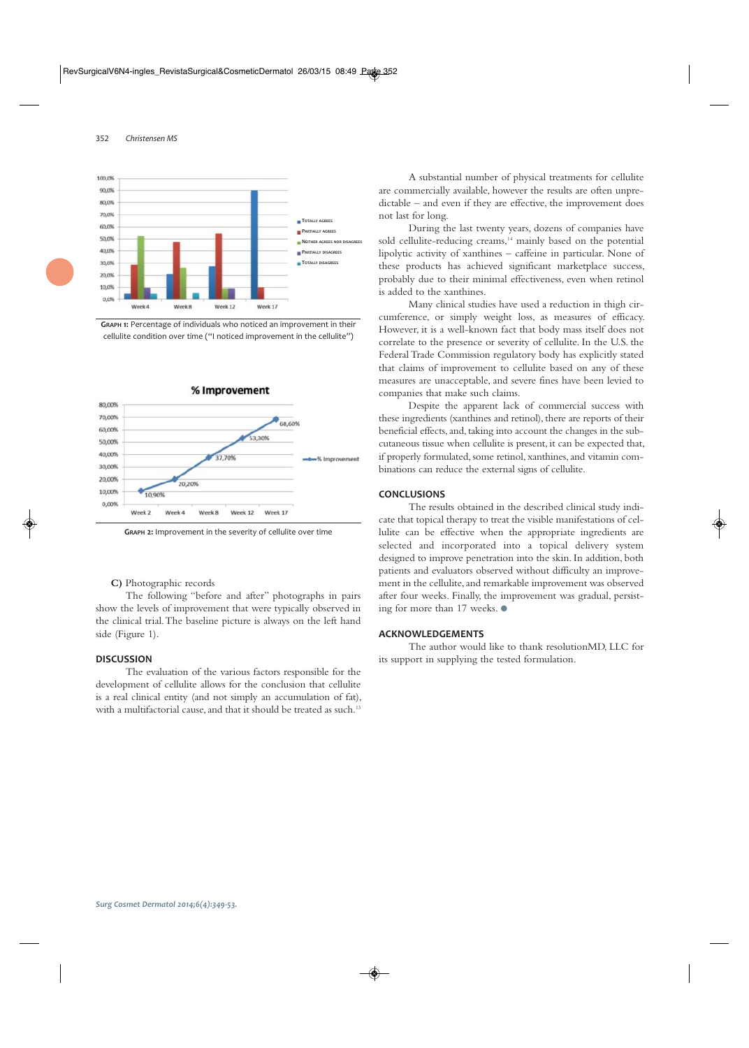

**GRAPH 1:** Percentage of individuals who noticed an improvement in their cellulite condition over time ("I noticed improvement in the cellulite")



**GRAPH 2:** Improvement in the severity of cellulite over time

#### **C)** Photographic records

The following "before and after" photographs in pairs show the levels of improvement that were typically observed in the clinical trial. The baseline picture is always on the left hand side (Figure 1).

#### **DISCUSSION**

The evaluation of the various factors responsible for the development of cellulite allows for the conclusion that cellulite is a real clinical entity (and not simply an accumulation of fat), with a multifactorial cause, and that it should be treated as such.<sup>13</sup>

A substantial number of physical treatments for cellulite are commercially available, however the results are often unpredictable – and even if they are effective, the improvement does not last for long.

During the last twenty years, dozens of companies have sold cellulite-reducing creams,<sup>14</sup> mainly based on the potential lipolytic activity of xanthines – caffeine in particular. None of these products has achieved significant marketplace success, probably due to their minimal effectiveness, even when retinol is added to the xanthines.

Many clinical studies have used a reduction in thigh circumference, or simply weight loss, as measures of efficacy. However, it is a well-known fact that body mass itself does not correlate to the presence or severity of cellulite. In the U.S. the Federal Trade Commission regulatory body has explicitly stated that claims of improvement to cellulite based on any of these measures are unacceptable, and severe fines have been levied to companies that make such claims.

Despite the apparent lack of commercial success with these ingredients (xanthines and retinol), there are reports of their beneficial effects, and, taking into account the changes in the subcutaneous tissue when cellulite is present, it can be expected that, if properly formulated, some retinol, xanthines, and vitamin combinations can reduce the external signs of cellulite.

#### **CONCLUSIONS**

The results obtained in the described clinical study indicate that topical therapy to treat the visible manifestations of cellulite can be effective when the appropriate ingredients are selected and incorporated into a topical delivery system designed to improve penetration into the skin. In addition, both patients and evaluators observed without difficulty an improvement in the cellulite, and remarkable improvement was observed after four weeks. Finally, the improvement was gradual, persisting for more than 17 weeks. ●

## **ACKNOWLEDGEMENTS**

The author would like to thank resolutionMD, LLC for its support in supplying the tested formulation.